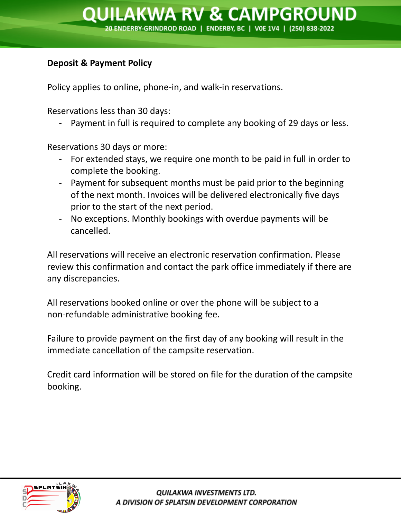## **Deposit & Payment Policy**

Policy applies to online, phone-in, and walk-in reservations.

Reservations less than 30 days:

- Payment in full is required to complete any booking of 29 days or less.

Reservations 30 days or more:

- For extended stays, we require one month to be paid in full in order to complete the booking.
- Payment for subsequent months must be paid prior to the beginning of the next month. Invoices will be delivered electronically five days prior to the start of the next period.
- No exceptions. Monthly bookings with overdue payments will be cancelled.

All reservations will receive an electronic reservation confirmation. Please review this confirmation and contact the park office immediately if there are any discrepancies.

All reservations booked online or over the phone will be subject to a non-refundable administrative booking fee.

Failure to provide payment on the first day of any booking will result in the immediate cancellation of the campsite reservation.

Credit card information will be stored on file for the duration of the campsite booking.

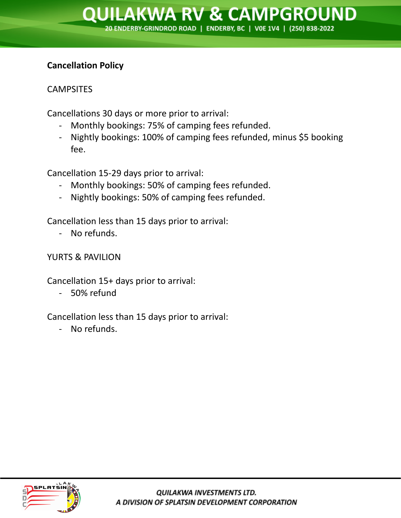## **Cancellation Policy**

# **CAMPSITES**

Cancellations 30 days or more prior to arrival:

- Monthly bookings: 75% of camping fees refunded.
- Nightly bookings: 100% of camping fees refunded, minus \$5 booking fee.

Cancellation 15-29 days prior to arrival:

- Monthly bookings: 50% of camping fees refunded.
- Nightly bookings: 50% of camping fees refunded.

Cancellation less than 15 days prior to arrival:

- No refunds.

YURTS & PAVILION

Cancellation 15+ days prior to arrival:

- 50% refund

Cancellation less than 15 days prior to arrival:

- No refunds.

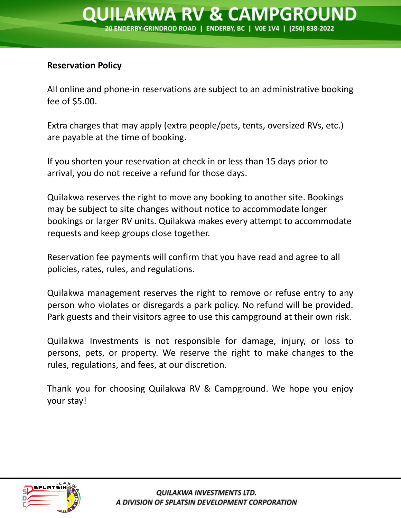#### **Reservation Policy**

All online and phone-in reservations are subject to an administrative booking fee of \$5.00.

Extra charges that may apply (extra people/pets, tents, oversized RVs, etc.) are payable at the time of booking.

If you shorten your reservation at check in or less than 15 days prior to arrival, you do not receive a refund for those days.

Quilakwa reserves the right to move any booking to another site. Bookings may be subject to site changes without notice to accommodate longer bookings or larger RV units. Quilakwa makes every attempt to accommodate requests and keep groups close together.

Reservation fee payments will confirm that you have read and agree to all policies, rates, rules, and regulations.

Quilakwa management reserves the right to remove or refuse entry to any person who violates or disregards a park policy. No refund will be provided. Park guests and their visitors agree to use this campground at their own risk.

Quilakwa Investments is not responsible for damage, injury, or loss to persons, pets, or property. We reserve the right to make changes to the rules, regulations, and fees, at our discretion.

Thank you for choosing Quilakwa RV & Campground. We hope you enjoy your stay!

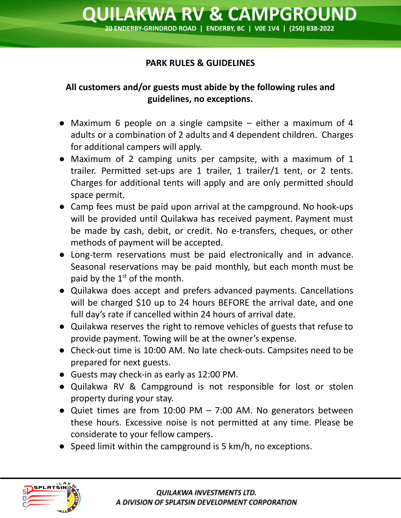### **PARK RULES & GUIDELINES**

## **All customers and/or guests must abide by the following rules and guidelines, no exceptions.**

- Maximum 6 people on a single campsite either a maximum of 4 adults or a combination of 2 adults and 4 dependent children. Charges for additional campers will apply.
- Maximum of 2 camping units per campsite, with a maximum of 1 trailer. Permitted set-ups are 1 trailer, 1 trailer/1 tent, or 2 tents. Charges for additional tents will apply and are only permitted should space permit.
- Camp fees must be paid upon arrival at the campground. No hook-ups will be provided until Quilakwa has received payment. Payment must be made by cash, debit, or credit. No e-transfers, cheques, or other methods of payment will be accepted.
- Long-term reservations must be paid electronically and in advance. Seasonal reservations may be paid monthly, but each month must be paid by the  $1<sup>st</sup>$  of the month.
- Quilakwa does accept and prefers advanced payments. Cancellations will be charged \$10 up to 24 hours BEFORE the arrival date, and one full day's rate if cancelled within 24 hours of arrival date.
- Quilakwa reserves the right to remove vehicles of guests that refuse to provide payment. Towing will be at the owner's expense.
- Check-out time is 10:00 AM. No late check-outs. Campsites need to be prepared for next guests.
- Guests may check-in as early as 12:00 PM.
- Quilakwa RV & Campground is not responsible for lost or stolen property during your stay.
- Quiet times are from 10:00 PM  $-$  7:00 AM. No generators between these hours. Excessive noise is not permitted at any time. Please be considerate to your fellow campers.
- Speed limit within the campground is 5 km/h, no exceptions.